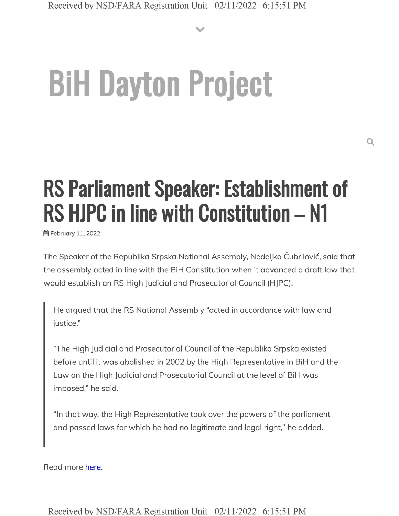**V**

# **BiH Dayton Project**

# **RS Parliament Speaker: Establishment of RS HJPC in line with Constitution - N1**

**简 February 11, 2022** 

The Speaker of the Republika Srpska National Assembly, Nedeljko Cubrilovic, said that the assembly acted in line with the BiH Constitution when it advanced a draft law that would establish an RS High Judicial and Prosecutorial Council (HJPC).

He argued that the RS National Assembly "acted in accordance with law and justice."

"The High Judicial and Prosecutorial Council of the Republika Srpska existed before until it was abolished in 2002 by the High Representative in BiH and the Law on the High Judicial and Prosecutorial Council at the level of BiH was imposed," he said.

"In that way, the High Representative took over the powers of the parliament and passed laws for which he had no legitimate and legal right," he added.

Read more here.

Received by NSD/FARA Registration Unit 02/11/2022 6:15:51 PM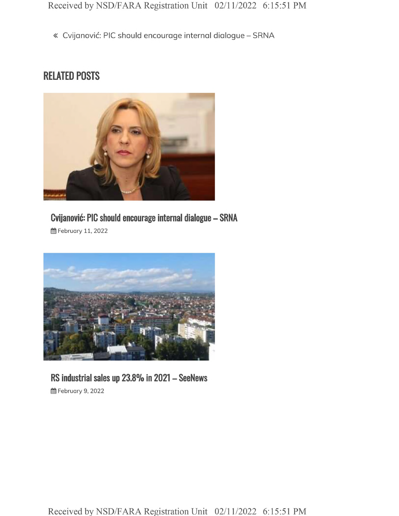« Cvijanović: PIC should encourage internal dialogue - SRNA

### **RELATED POSTS**



# **Cvijanovic: PIC should encourage internal dialogue - SRNA**

**曲 February 11, 2022** 



#### **RS industrial sales up 23.8% in <sup>2021</sup> - SeeNews** §§ February 9, 2022